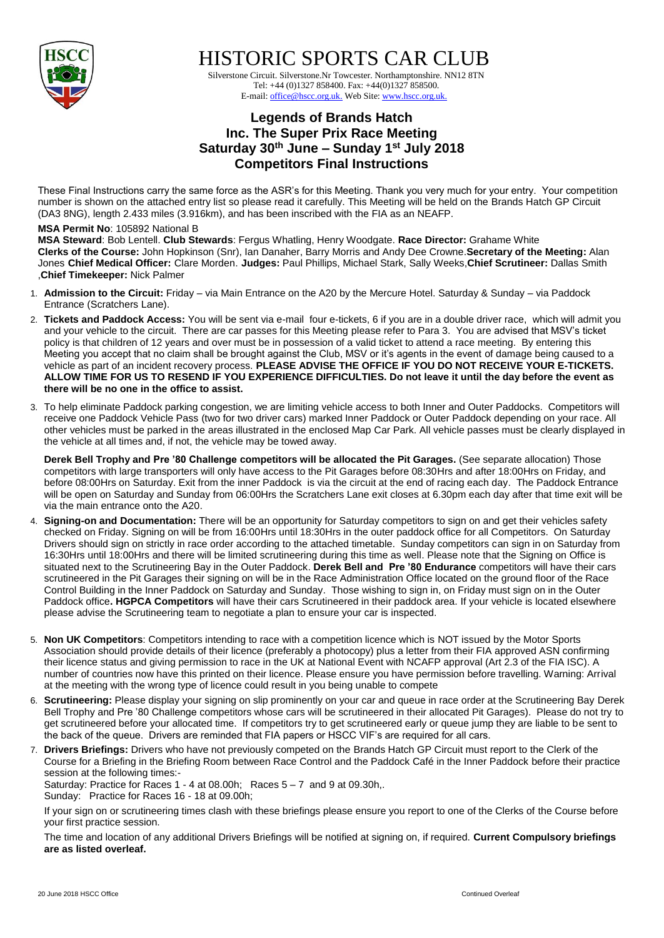

HISTORIC SPORTS CAR CLUB

 Silverstone Circuit. Silverstone.Nr Towcester. Northamptonshire. NN12 8TN Tel: +44 (0)1327 858400. Fax: +44(0)1327 858500. E-mail: office@hscc.org.uk. Web Site: www.hscc.org.uk.

## **Legends of Brands Hatch Inc. The Super Prix Race Meeting Saturday 30th June – Sunday 1 st July 2018 Competitors Final Instructions**

These Final Instructions carry the same force as the ASR's for this Meeting. Thank you very much for your entry. Your competition number is shown on the attached entry list so please read it carefully. This Meeting will be held on the Brands Hatch GP Circuit (DA3 8NG), length 2.433 miles (3.916km), and has been inscribed with the FIA as an NEAFP.

## **MSA Permit No**: 105892 National B

**MSA Steward**: Bob Lentell. **Club Stewards**: Fergus Whatling, Henry Woodgate. **Race Director:** Grahame White **Clerks of the Course:** John Hopkinson (Snr), Ian Danaher, Barry Morris and Andy Dee Crowne.**Secretary of the Meeting:** Alan Jones **Chief Medical Officer:** Clare Morden. **Judges:** Paul Phillips, Michael Stark, Sally Weeks,**Chief Scrutineer:** Dallas Smith ,**Chief Timekeeper:** Nick Palmer

- 1. **Admission to the Circuit:** Friday via Main Entrance on the A20 by the Mercure Hotel. Saturday & Sunday via Paddock Entrance (Scratchers Lane).
- 2. **Tickets and Paddock Access:** You will be sent via e-mail four e-tickets, 6 if you are in a double driver race, which will admit you and your vehicle to the circuit. There are car passes for this Meeting please refer to Para 3. You are advised that MSV's ticket policy is that children of 12 years and over must be in possession of a valid ticket to attend a race meeting. By entering this Meeting you accept that no claim shall be brought against the Club, MSV or it's agents in the event of damage being caused to a vehicle as part of an incident recovery process. **PLEASE ADVISE THE OFFICE IF YOU DO NOT RECEIVE YOUR E-TICKETS. ALLOW TIME FOR US TO RESEND IF YOU EXPERIENCE DIFFICULTIES. Do not leave it until the day before the event as there will be no one in the office to assist.**
- 3. To help eliminate Paddock parking congestion, we are limiting vehicle access to both Inner and Outer Paddocks. Competitors will receive one Paddock Vehicle Pass (two for two driver cars) marked Inner Paddock or Outer Paddock depending on your race. All other vehicles must be parked in the areas illustrated in the enclosed Map Car Park. All vehicle passes must be clearly displayed in the vehicle at all times and, if not, the vehicle may be towed away.

**Derek Bell Trophy and Pre '80 Challenge competitors will be allocated the Pit Garages.** (See separate allocation) Those competitors with large transporters will only have access to the Pit Garages before 08:30Hrs and after 18:00Hrs on Friday, and before 08:00Hrs on Saturday. Exit from the inner Paddock is via the circuit at the end of racing each day. The Paddock Entrance will be open on Saturday and Sunday from 06:00Hrs the Scratchers Lane exit closes at 6.30pm each day after that time exit will be via the main entrance onto the A20.

- 4. **Signing-on and Documentation:** There will be an opportunity for Saturday competitors to sign on and get their vehicles safety checked on Friday. Signing on will be from 16:00Hrs until 18:30Hrs in the outer paddock office for all Competitors. On Saturday Drivers should sign on strictly in race order according to the attached timetable. Sunday competitors can sign in on Saturday from 16:30Hrs until 18:00Hrs and there will be limited scrutineering during this time as well. Please note that the Signing on Office is situated next to the Scrutineering Bay in the Outer Paddock. **Derek Bell and Pre '80 Endurance** competitors will have their cars scrutineered in the Pit Garages their signing on will be in the Race Administration Office located on the ground floor of the Race Control Building in the Inner Paddock on Saturday and Sunday. Those wishing to sign in, on Friday must sign on in the Outer Paddock office**. HGPCA Competitors** will have their cars Scrutineered in their paddock area. If your vehicle is located elsewhere please advise the Scrutineering team to negotiate a plan to ensure your car is inspected.
- 5. **Non UK Competitors**: Competitors intending to race with a competition licence which is NOT issued by the Motor Sports Association should provide details of their licence (preferably a photocopy) plus a letter from their FIA approved ASN confirming their licence status and giving permission to race in the UK at National Event with NCAFP approval (Art 2.3 of the FIA ISC). A number of countries now have this printed on their licence. Please ensure you have permission before travelling. Warning: Arrival at the meeting with the wrong type of licence could result in you being unable to compete
- 6. **Scrutineering:** Please display your signing on slip prominently on your car and queue in race order at the Scrutineering Bay Derek Bell Trophy and Pre '80 Challenge competitors whose cars will be scrutineered in their allocated Pit Garages). Please do not try to get scrutineered before your allocated time. If competitors try to get scrutineered early or queue jump they are liable to be sent to the back of the queue. Drivers are reminded that FIA papers or HSCC VIF's are required for all cars.
- 7. **Drivers Briefings:** Drivers who have not previously competed on the Brands Hatch GP Circuit must report to the Clerk of the Course for a Briefing in the Briefing Room between Race Control and the Paddock Café in the Inner Paddock before their practice session at the following times:- Saturday: Practice for Races  $1 - 4$  at 08.00h; Races  $5 - 7$  and 9 at 09.30h,.

Sunday: Practice for Races 16 - 18 at 09.00h;

If your sign on or scrutineering times clash with these briefings please ensure you report to one of the Clerks of the Course before your first practice session.

The time and location of any additional Drivers Briefings will be notified at signing on, if required. **Current Compulsory briefings are as listed overleaf.**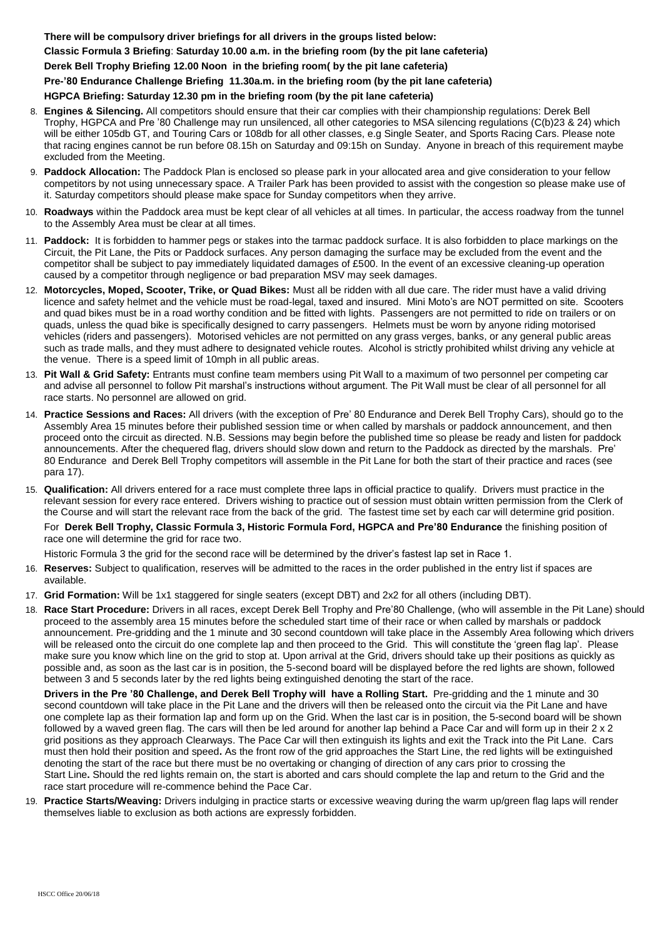**There will be compulsory driver briefings for all drivers in the groups listed below: Classic Formula 3 Briefing**: **Saturday 10.00 a.m. in the briefing room (by the pit lane cafeteria) Derek Bell Trophy Briefing 12.00 Noon in the briefing room( by the pit lane cafeteria) Pre-'80 Endurance Challenge Briefing 11.30a.m. in the briefing room (by the pit lane cafeteria) HGPCA Briefing: Saturday 12.30 pm in the briefing room (by the pit lane cafeteria)**

- 8. **Engines & Silencing.** All competitors should ensure that their car complies with their championship regulations: Derek Bell Trophy, HGPCA and Pre '80 Challenge may run unsilenced, all other categories to MSA silencing regulations (C(b)23 & 24) which will be either 105db GT, and Touring Cars or 108db for all other classes, e.g Single Seater, and Sports Racing Cars. Please note that racing engines cannot be run before 08.15h on Saturday and 09:15h on Sunday. Anyone in breach of this requirement maybe excluded from the Meeting.
- 9. **Paddock Allocation:** The Paddock Plan is enclosed so please park in your allocated area and give consideration to your fellow competitors by not using unnecessary space. A Trailer Park has been provided to assist with the congestion so please make use of it. Saturday competitors should please make space for Sunday competitors when they arrive.
- 10. **Roadways** within the Paddock area must be kept clear of all vehicles at all times. In particular, the access roadway from the tunnel to the Assembly Area must be clear at all times.
- 11. **Paddock:** It is forbidden to hammer pegs or stakes into the tarmac paddock surface. It is also forbidden to place markings on the Circuit, the Pit Lane, the Pits or Paddock surfaces. Any person damaging the surface may be excluded from the event and the competitor shall be subject to pay immediately liquidated damages of £500. In the event of an excessive cleaning-up operation caused by a competitor through negligence or bad preparation MSV may seek damages.
- 12. **Motorcycles, Moped, Scooter, Trike, or Quad Bikes:** Must all be ridden with all due care. The rider must have a valid driving licence and safety helmet and the vehicle must be road-legal, taxed and insured. Mini Moto's are NOT permitted on site. Scooters and quad bikes must be in a road worthy condition and be fitted with lights. Passengers are not permitted to ride on trailers or on quads, unless the quad bike is specifically designed to carry passengers. Helmets must be worn by anyone riding motorised vehicles (riders and passengers). Motorised vehicles are not permitted on any grass verges, banks, or any general public areas such as trade malls, and they must adhere to designated vehicle routes. Alcohol is strictly prohibited whilst driving any vehicle at the venue. There is a speed limit of 10mph in all public areas.
- 13. **Pit Wall & Grid Safety:** Entrants must confine team members using Pit Wall to a maximum of two personnel per competing car and advise all personnel to follow Pit marshal's instructions without argument. The Pit Wall must be clear of all personnel for all race starts. No personnel are allowed on grid.
- 14. **Practice Sessions and Races:** All drivers (with the exception of Pre' 80 Endurance and Derek Bell Trophy Cars), should go to the Assembly Area 15 minutes before their published session time or when called by marshals or paddock announcement, and then proceed onto the circuit as directed. N.B. Sessions may begin before the published time so please be ready and listen for paddock announcements. After the chequered flag, drivers should slow down and return to the Paddock as directed by the marshals. Pre' 80 Endurance and Derek Bell Trophy competitors will assemble in the Pit Lane for both the start of their practice and races (see para 17).
- 15. **Qualification:** All drivers entered for a race must complete three laps in official practice to qualify. Drivers must practice in the relevant session for every race entered. Drivers wishing to practice out of session must obtain written permission from the Clerk of the Course and will start the relevant race from the back of the grid. The fastest time set by each car will determine grid position. For **Derek Bell Trophy, Classic Formula 3, Historic Formula Ford, HGPCA and Pre'80 Endurance** the finishing position of race one will determine the grid for race two.

Historic Formula 3 the grid for the second race will be determined by the driver's fastest lap set in Race 1.

- 16. **Reserves:** Subject to qualification, reserves will be admitted to the races in the order published in the entry list if spaces are available.
- 17. **Grid Formation:** Will be 1x1 staggered for single seaters (except DBT) and 2x2 for all others (including DBT).
- 18. **Race Start Procedure:** Drivers in all races, except Derek Bell Trophy and Pre'80 Challenge, (who will assemble in the Pit Lane) should proceed to the assembly area 15 minutes before the scheduled start time of their race or when called by marshals or paddock announcement. Pre-gridding and the 1 minute and 30 second countdown will take place in the Assembly Area following which drivers will be released onto the circuit do one complete lap and then proceed to the Grid. This will constitute the 'green flag lap'. Please make sure you know which line on the grid to stop at. Upon arrival at the Grid, drivers should take up their positions as quickly as possible and, as soon as the last car is in position, the 5-second board will be displayed before the red lights are shown, followed between 3 and 5 seconds later by the red lights being extinguished denoting the start of the race.

**Drivers in the Pre '80 Challenge, and Derek Bell Trophy will have a Rolling Start.** Pre-gridding and the 1 minute and 30 second countdown will take place in the Pit Lane and the drivers will then be released onto the circuit via the Pit Lane and have one complete lap as their formation lap and form up on the Grid. When the last car is in position, the 5-second board will be shown followed by a waved green flag. The cars will then be led around for another lap behind a Pace Car and will form up in their  $2 \times 2$ grid positions as they approach Clearways. The Pace Car will then extinguish its lights and exit the Track into the Pit Lane. Cars must then hold their position and speed**.** As the front row of the grid approaches the Start Line, the red lights will be extinguished denoting the start of the race but there must be no overtaking or changing of direction of any cars prior to crossing the Start Line**.** Should the red lights remain on, the start is aborted and cars should complete the lap and return to the Grid and the race start procedure will re-commence behind the Pace Car.

19. **Practice Starts/Weaving:** Drivers indulging in practice starts or excessive weaving during the warm up/green flag laps will render themselves liable to exclusion as both actions are expressly forbidden.